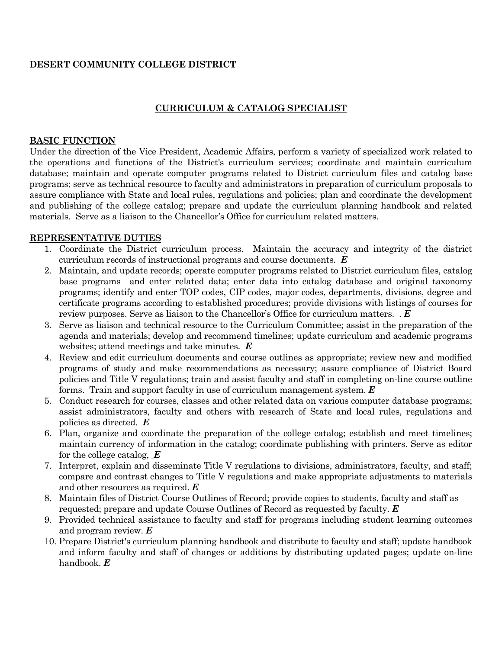### **DESERT COMMUNITY COLLEGE DISTRICT**

## **CURRICULUM & CATALOG SPECIALIST**

#### **BASIC FUNCTION**

Under the direction of the Vice President, Academic Affairs, perform a variety of specialized work related to the operations and functions of the District's curriculum services; coordinate and maintain curriculum database; maintain and operate computer programs related to District curriculum files and catalog base programs; serve as technical resource to faculty and administrators in preparation of curriculum proposals to assure compliance with State and local rules, regulations and policies; plan and coordinate the development and publishing of the college catalog; prepare and update the curriculum planning handbook and related materials. Serve as a liaison to the Chancellor's Office for curriculum related matters.

#### **REPRESENTATIVE DUTIES**

- 1. Coordinate the District curriculum process. Maintain the accuracy and integrity of the district curriculum records of instructional programs and course documents. *E*
- 2. Maintain, and update records; operate computer programs related to District curriculum files, catalog base programs and enter related data; enter data into catalog database and original taxonomy programs; identify and enter TOP codes, CIP codes, major codes, departments, divisions, degree and certificate programs according to established procedures; provide divisions with listings of courses for review purposes. Serve as liaison to the Chancellor's Office for curriculum matters. . *E*
- 3. Serve as liaison and technical resource to the Curriculum Committee; assist in the preparation of the agenda and materials; develop and recommend timelines; update curriculum and academic programs websites; attend meetings and take minutes. *E*
- 4. Review and edit curriculum documents and course outlines as appropriate; review new and modified programs of study and make recommendations as necessary; assure compliance of District Board policies and Title V regulations; train and assist faculty and staff in completing on-line course outline forms. Train and support faculty in use of curriculum management system. *E*
- 5. Conduct research for courses, classes and other related data on various computer database programs; assist administrators, faculty and others with research of State and local rules, regulations and policies as directed. *E*
- 6. Plan, organize and coordinate the preparation of the college catalog; establish and meet timelines; maintain currency of information in the catalog; coordinate publishing with printers. Serve as editor for the college catalog, *E*
- 7. Interpret, explain and disseminate Title V regulations to divisions, administrators, faculty, and staff; compare and contrast changes to Title V regulations and make appropriate adjustments to materials and other resources as required. *E*
- 8. Maintain files of District Course Outlines of Record; provide copies to students, faculty and staff as requested; prepare and update Course Outlines of Record as requested by faculty. *E*
- 9. Provided technical assistance to faculty and staff for programs including student learning outcomes and program review. *E*
- 10. Prepare District's curriculum planning handbook and distribute to faculty and staff; update handbook and inform faculty and staff of changes or additions by distributing updated pages; update on-line handbook. *E*